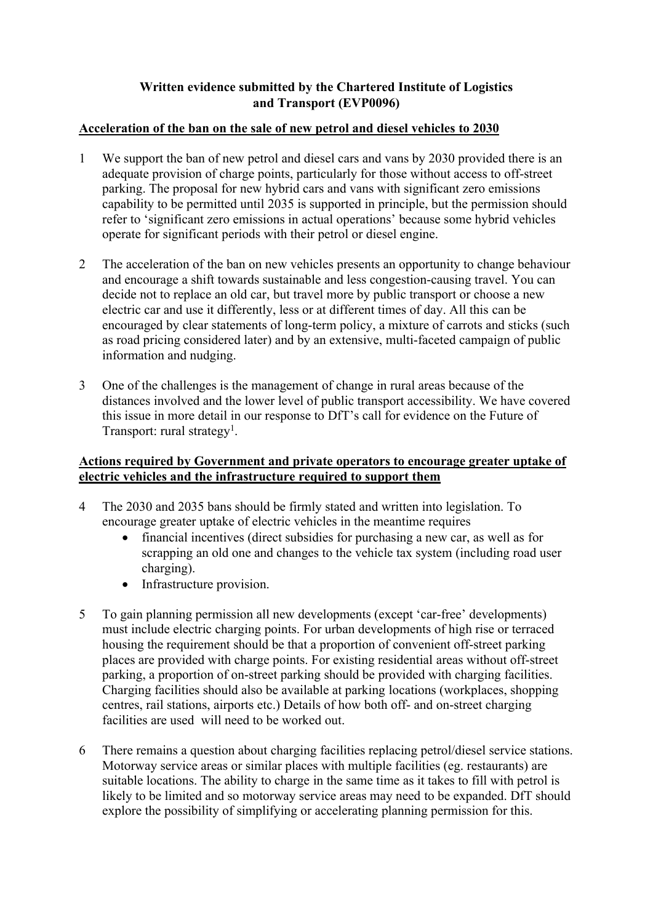# **Written evidence submitted by the Chartered Institute of Logistics and Transport (EVP0096)**

## **Acceleration of the ban on the sale of new petrol and diesel vehicles to 2030**

- 1 We support the ban of new petrol and diesel cars and vans by 2030 provided there is an adequate provision of charge points, particularly for those without access to off-street parking. The proposal for new hybrid cars and vans with significant zero emissions capability to be permitted until 2035 is supported in principle, but the permission should refer to 'significant zero emissions in actual operations' because some hybrid vehicles operate for significant periods with their petrol or diesel engine.
- 2 The acceleration of the ban on new vehicles presents an opportunity to change behaviour and encourage a shift towards sustainable and less congestion-causing travel. You can decide not to replace an old car, but travel more by public transport or choose a new electric car and use it differently, less or at different times of day. All this can be encouraged by clear statements of long-term policy, a mixture of carrots and sticks (such as road pricing considered later) and by an extensive, multi-faceted campaign of public information and nudging.
- 3 One of the challenges is the management of change in rural areas because of the distances involved and the lower level of public transport accessibility. We have covered this issue in more detail in our response to DfT's call for evidence on the Future of Transport: rural strategy<sup>1</sup>.

## **Actions required by Government and private operators to encourage greater uptake of electric vehicles and the infrastructure required to support them**

- 4 The 2030 and 2035 bans should be firmly stated and written into legislation. To encourage greater uptake of electric vehicles in the meantime requires
	- financial incentives (direct subsidies for purchasing a new car, as well as for scrapping an old one and changes to the vehicle tax system (including road user charging).
	- Infrastructure provision.
- 5 To gain planning permission all new developments (except 'car-free' developments) must include electric charging points. For urban developments of high rise or terraced housing the requirement should be that a proportion of convenient off-street parking places are provided with charge points. For existing residential areas without off-street parking, a proportion of on-street parking should be provided with charging facilities. Charging facilities should also be available at parking locations (workplaces, shopping centres, rail stations, airports etc.) Details of how both off- and on-street charging facilities are used will need to be worked out.
- 6 There remains a question about charging facilities replacing petrol/diesel service stations. Motorway service areas or similar places with multiple facilities (eg. restaurants) are suitable locations. The ability to charge in the same time as it takes to fill with petrol is likely to be limited and so motorway service areas may need to be expanded. DfT should explore the possibility of simplifying or accelerating planning permission for this.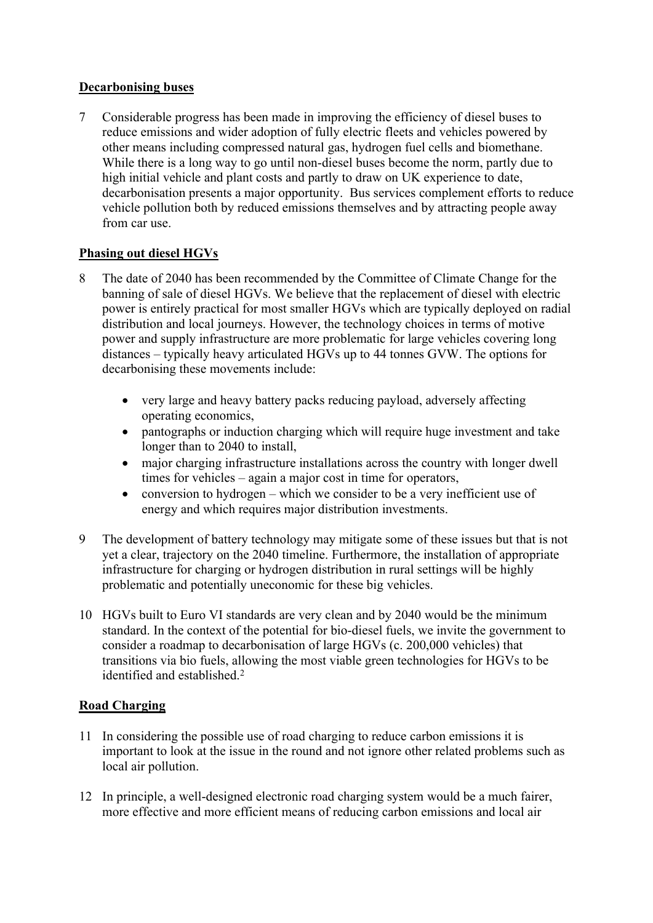## **Decarbonising buses**

7 Considerable progress has been made in improving the efficiency of diesel buses to reduce emissions and wider adoption of fully electric fleets and vehicles powered by other means including compressed natural gas, hydrogen fuel cells and biomethane. While there is a long way to go until non-diesel buses become the norm, partly due to high initial vehicle and plant costs and partly to draw on UK experience to date. decarbonisation presents a major opportunity. Bus services complement efforts to reduce vehicle pollution both by reduced emissions themselves and by attracting people away from car use.

# **Phasing out diesel HGVs**

- 8 The date of 2040 has been recommended by the Committee of Climate Change for the banning of sale of diesel HGVs. We believe that the replacement of diesel with electric power is entirely practical for most smaller HGVs which are typically deployed on radial distribution and local journeys. However, the technology choices in terms of motive power and supply infrastructure are more problematic for large vehicles covering long distances – typically heavy articulated HGVs up to 44 tonnes GVW. The options for decarbonising these movements include:
	- very large and heavy battery packs reducing payload, adversely affecting operating economics,
	- pantographs or induction charging which will require huge investment and take longer than to 2040 to install,
	- major charging infrastructure installations across the country with longer dwell times for vehicles – again a major cost in time for operators,
	- conversion to hydrogen which we consider to be a very inefficient use of energy and which requires major distribution investments.
- 9 The development of battery technology may mitigate some of these issues but that is not yet a clear, trajectory on the 2040 timeline. Furthermore, the installation of appropriate infrastructure for charging or hydrogen distribution in rural settings will be highly problematic and potentially uneconomic for these big vehicles.
- 10 HGVs built to Euro VI standards are very clean and by 2040 would be the minimum standard. In the context of the potential for bio-diesel fuels, we invite the government to consider a roadmap to decarbonisation of large HGVs (c. 200,000 vehicles) that transitions via bio fuels, allowing the most viable green technologies for HGVs to be identified and established.<sup>2</sup>

# **Road Charging**

- 11 In considering the possible use of road charging to reduce carbon emissions it is important to look at the issue in the round and not ignore other related problems such as local air pollution.
- 12 In principle, a well-designed electronic road charging system would be a much fairer, more effective and more efficient means of reducing carbon emissions and local air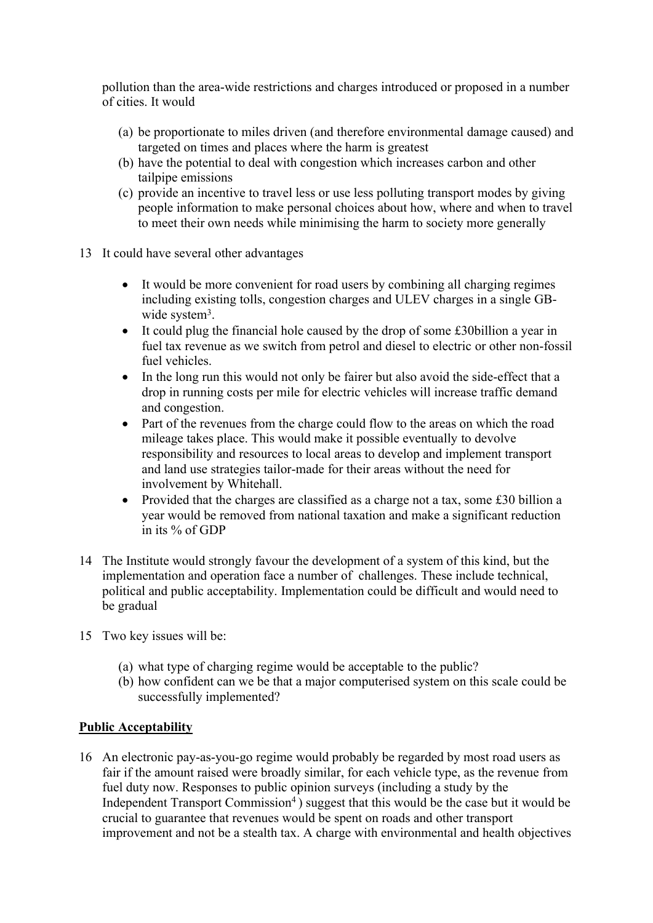pollution than the area-wide restrictions and charges introduced or proposed in a number of cities. It would

- (a) be proportionate to miles driven (and therefore environmental damage caused) and targeted on times and places where the harm is greatest
- (b) have the potential to deal with congestion which increases carbon and other tailpipe emissions
- (c) provide an incentive to travel less or use less polluting transport modes by giving people information to make personal choices about how, where and when to travel to meet their own needs while minimising the harm to society more generally
- 13 It could have several other advantages
	- It would be more convenient for road users by combining all charging regimes including existing tolls, congestion charges and ULEV charges in a single GBwide system<sup>3</sup>.
	- It could plug the financial hole caused by the drop of some £30billion a year in fuel tax revenue as we switch from petrol and diesel to electric or other non-fossil fuel vehicles.
	- In the long run this would not only be fairer but also avoid the side-effect that a drop in running costs per mile for electric vehicles will increase traffic demand and congestion.
	- Part of the revenues from the charge could flow to the areas on which the road mileage takes place. This would make it possible eventually to devolve responsibility and resources to local areas to develop and implement transport and land use strategies tailor-made for their areas without the need for involvement by Whitehall.
	- Provided that the charges are classified as a charge not a tax, some £30 billion a year would be removed from national taxation and make a significant reduction in its % of GDP
- 14 The Institute would strongly favour the development of a system of this kind, but the implementation and operation face a number of challenges. These include technical, political and public acceptability. Implementation could be difficult and would need to be gradual
- 15 Two key issues will be:
	- (a) what type of charging regime would be acceptable to the public?
	- (b) how confident can we be that a major computerised system on this scale could be successfully implemented?

## **Public Acceptability**

16 An electronic pay-as-you-go regime would probably be regarded by most road users as fair if the amount raised were broadly similar, for each vehicle type, as the revenue from fuel duty now. Responses to public opinion surveys (including a study by the Independent Transport Commission<sup>4</sup>) suggest that this would be the case but it would be crucial to guarantee that revenues would be spent on roads and other transport improvement and not be a stealth tax. A charge with environmental and health objectives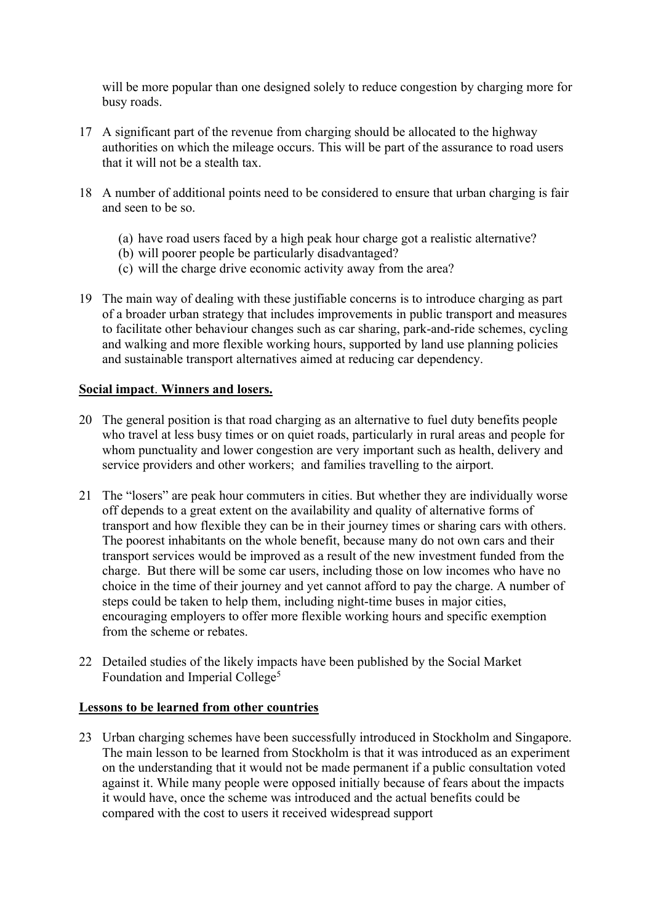will be more popular than one designed solely to reduce congestion by charging more for busy roads.

- 17 A significant part of the revenue from charging should be allocated to the highway authorities on which the mileage occurs. This will be part of the assurance to road users that it will not be a stealth tax.
- 18 A number of additional points need to be considered to ensure that urban charging is fair and seen to be so.
	- (a) have road users faced by a high peak hour charge got a realistic alternative?
	- (b) will poorer people be particularly disadvantaged?
	- (c) will the charge drive economic activity away from the area?
- 19 The main way of dealing with these justifiable concerns is to introduce charging as part of a broader urban strategy that includes improvements in public transport and measures to facilitate other behaviour changes such as car sharing, park-and-ride schemes, cycling and walking and more flexible working hours, supported by land use planning policies and sustainable transport alternatives aimed at reducing car dependency.

### **Social impact**. **Winners and losers.**

- 20 The general position is that road charging as an alternative to fuel duty benefits people who travel at less busy times or on quiet roads, particularly in rural areas and people for whom punctuality and lower congestion are very important such as health, delivery and service providers and other workers; and families travelling to the airport.
- 21 The "losers" are peak hour commuters in cities. But whether they are individually worse off depends to a great extent on the availability and quality of alternative forms of transport and how flexible they can be in their journey times or sharing cars with others. The poorest inhabitants on the whole benefit, because many do not own cars and their transport services would be improved as a result of the new investment funded from the charge. But there will be some car users, including those on low incomes who have no choice in the time of their journey and yet cannot afford to pay the charge. A number of steps could be taken to help them, including night-time buses in major cities, encouraging employers to offer more flexible working hours and specific exemption from the scheme or rebates.
- 22 Detailed studies of the likely impacts have been published by the Social Market Foundation and Imperial College<sup>5</sup>

#### **Lessons to be learned from other countries**

23 Urban charging schemes have been successfully introduced in Stockholm and Singapore. The main lesson to be learned from Stockholm is that it was introduced as an experiment on the understanding that it would not be made permanent if a public consultation voted against it. While many people were opposed initially because of fears about the impacts it would have, once the scheme was introduced and the actual benefits could be compared with the cost to users it received widespread support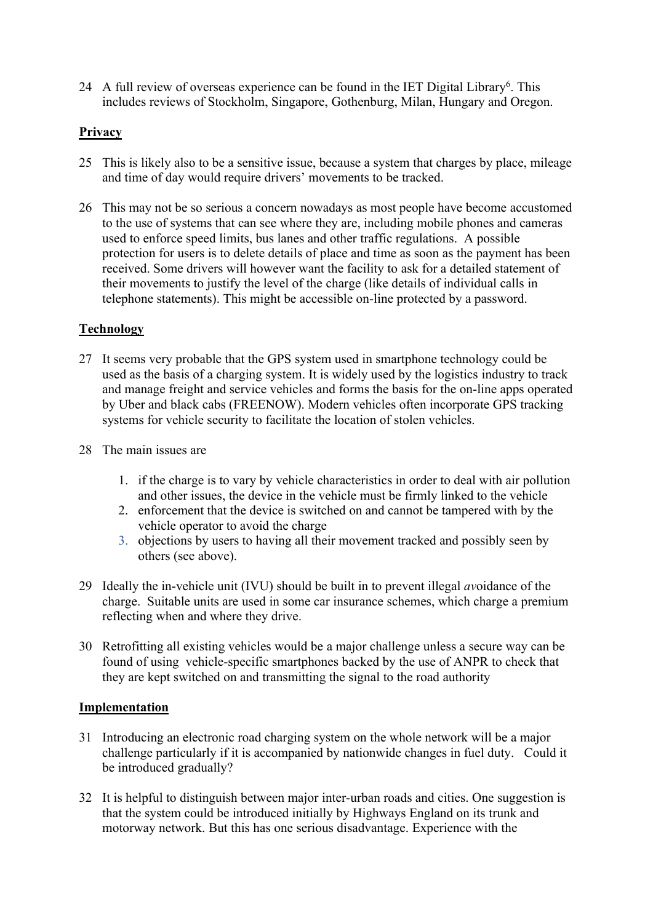24 A full review of overseas experience can be found in the IET Digital Library<sup>6</sup>. This includes reviews of Stockholm, Singapore, Gothenburg, Milan, Hungary and Oregon.

## **Privacy**

- 25 This is likely also to be a sensitive issue, because a system that charges by place, mileage and time of day would require drivers' movements to be tracked.
- 26 This may not be so serious a concern nowadays as most people have become accustomed to the use of systems that can see where they are, including mobile phones and cameras used to enforce speed limits, bus lanes and other traffic regulations. A possible protection for users is to delete details of place and time as soon as the payment has been received. Some drivers will however want the facility to ask for a detailed statement of their movements to justify the level of the charge (like details of individual calls in telephone statements). This might be accessible on-line protected by a password.

## **Technology**

- 27 It seems very probable that the GPS system used in smartphone technology could be used as the basis of a charging system. It is widely used by the logistics industry to track and manage freight and service vehicles and forms the basis for the on-line apps operated by Uber and black cabs (FREENOW). Modern vehicles often incorporate GPS tracking systems for vehicle security to facilitate the location of stolen vehicles.
- 28 The main issues are
	- 1. if the charge is to vary by vehicle characteristics in order to deal with air pollution and other issues, the device in the vehicle must be firmly linked to the vehicle
	- 2. enforcement that the device is switched on and cannot be tampered with by the vehicle operator to avoid the charge
	- 3. objections by users to having all their movement tracked and possibly seen by others (see above).
- 29 Ideally the in-vehicle unit (IVU) should be built in to prevent illegal *av*oidance of the charge. Suitable units are used in some car insurance schemes, which charge a premium reflecting when and where they drive.
- 30 Retrofitting all existing vehicles would be a major challenge unless a secure way can be found of using vehicle-specific smartphones backed by the use of ANPR to check that they are kept switched on and transmitting the signal to the road authority

## **Implementation**

- 31 Introducing an electronic road charging system on the whole network will be a major challenge particularly if it is accompanied by nationwide changes in fuel duty. Could it be introduced gradually?
- 32 It is helpful to distinguish between major inter-urban roads and cities. One suggestion is that the system could be introduced initially by Highways England on its trunk and motorway network. But this has one serious disadvantage. Experience with the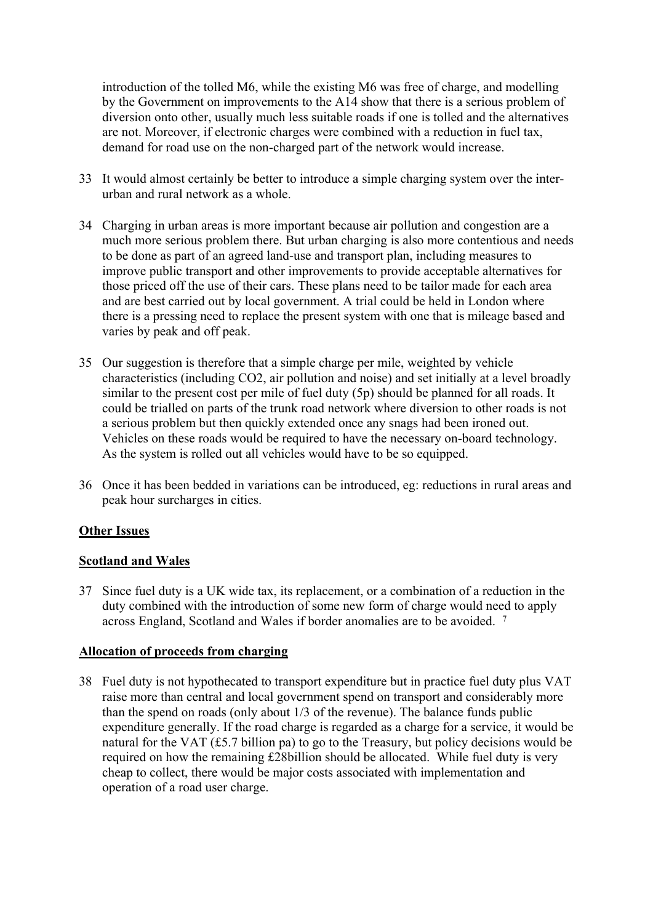introduction of the tolled M6, while the existing M6 was free of charge, and modelling by the Government on improvements to the A14 show that there is a serious problem of diversion onto other, usually much less suitable roads if one is tolled and the alternatives are not. Moreover, if electronic charges were combined with a reduction in fuel tax, demand for road use on the non-charged part of the network would increase.

- 33 It would almost certainly be better to introduce a simple charging system over the interurban and rural network as a whole.
- 34 Charging in urban areas is more important because air pollution and congestion are a much more serious problem there. But urban charging is also more contentious and needs to be done as part of an agreed land-use and transport plan, including measures to improve public transport and other improvements to provide acceptable alternatives for those priced off the use of their cars. These plans need to be tailor made for each area and are best carried out by local government. A trial could be held in London where there is a pressing need to replace the present system with one that is mileage based and varies by peak and off peak.
- 35 Our suggestion is therefore that a simple charge per mile, weighted by vehicle characteristics (including CO2, air pollution and noise) and set initially at a level broadly similar to the present cost per mile of fuel duty (5p) should be planned for all roads. It could be trialled on parts of the trunk road network where diversion to other roads is not a serious problem but then quickly extended once any snags had been ironed out. Vehicles on these roads would be required to have the necessary on-board technology. As the system is rolled out all vehicles would have to be so equipped.
- 36 Once it has been bedded in variations can be introduced, eg: reductions in rural areas and peak hour surcharges in cities.

## **Other Issues**

## **Scotland and Wales**

37 Since fuel duty is a UK wide tax, its replacement, or a combination of a reduction in the duty combined with the introduction of some new form of charge would need to apply across England, Scotland and Wales if border anomalies are to be avoided. <sup>7</sup>

## **Allocation of proceeds from charging**

38 Fuel duty is not hypothecated to transport expenditure but in practice fuel duty plus VAT raise more than central and local government spend on transport and considerably more than the spend on roads (only about 1/3 of the revenue). The balance funds public expenditure generally. If the road charge is regarded as a charge for a service, it would be natural for the VAT (£5.7 billion pa) to go to the Treasury, but policy decisions would be required on how the remaining £28billion should be allocated. While fuel duty is very cheap to collect, there would be major costs associated with implementation and operation of a road user charge.